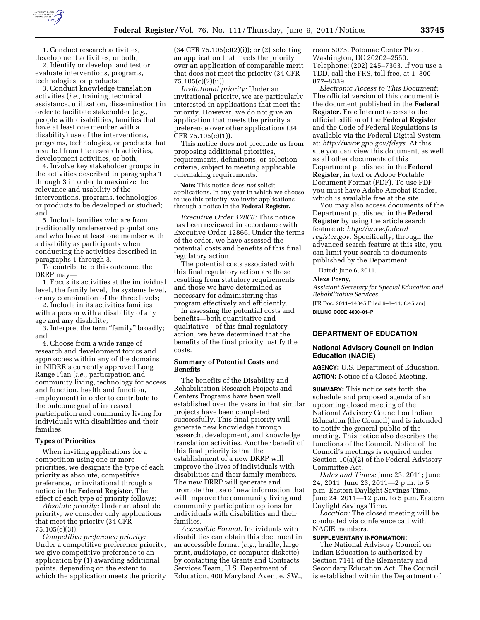

1. Conduct research activities, development activities, or both;

2. Identify or develop, and test or evaluate interventions, programs, technologies, or products;

3. Conduct knowledge translation activities (*i.e.,* training, technical assistance, utilization, dissemination) in order to facilitate stakeholder (*e.g.,*  people with disabilities, families that have at least one member with a disability) use of the interventions, programs, technologies, or products that resulted from the research activities, development activities, or both;

4. Involve key stakeholder groups in the activities described in paragraphs 1 through 3 in order to maximize the relevance and usability of the interventions, programs, technologies, or products to be developed or studied; and

5. Include families who are from traditionally underserved populations and who have at least one member with a disability as participants when conducting the activities described in paragraphs 1 through 3.

To contribute to this outcome, the DRRP may—

1. Focus its activities at the individual level, the family level, the systems level, or any combination of the three levels;

2. Include in its activities families with a person with a disability of any age and any disability;

3. Interpret the term "family" broadly; and

4. Choose from a wide range of research and development topics and approaches within any of the domains in NIDRR's currently approved Long Range Plan (*i.e.,* participation and community living, technology for access and function, health and function, employment) in order to contribute to the outcome goal of increased participation and community living for individuals with disabilities and their families.

## **Types of Priorities**

When inviting applications for a competition using one or more priorities, we designate the type of each priority as absolute, competitive preference, or invitational through a notice in the **Federal Register**. The effect of each type of priority follows:

*Absolute priority:* Under an absolute priority, we consider only applications that meet the priority (34 CFR 75.105(c)(3)).

*Competitive preference priority:*  Under a competitive preference priority, we give competitive preference to an application by (1) awarding additional points, depending on the extent to which the application meets the priority (34 CFR 75.105(c)(2)(i)); or (2) selecting an application that meets the priority over an application of comparable merit that does not meet the priority (34 CFR 75.105(c)(2)(ii)).

*Invitational priority:* Under an invitational priority, we are particularly interested in applications that meet the priority. However, we do not give an application that meets the priority a preference over other applications (34 CFR 75.105(c)(1)).

This notice does not preclude us from proposing additional priorities, requirements, definitions, or selection criteria, subject to meeting applicable rulemaking requirements.

**Note:** This notice does *not* solicit applications. In any year in which we choose to use this priority, we invite applications through a notice in the **Federal Register.** 

*Executive Order 12866:* This notice has been reviewed in accordance with Executive Order 12866. Under the terms of the order, we have assessed the potential costs and benefits of this final regulatory action.

The potential costs associated with this final regulatory action are those resulting from statutory requirements and those we have determined as necessary for administering this program effectively and efficiently.

In assessing the potential costs and benefits—both quantitative and qualitative—of this final regulatory action, we have determined that the benefits of the final priority justify the costs.

### **Summary of Potential Costs and Benefits**

The benefits of the Disability and Rehabilitation Research Projects and Centers Programs have been well established over the years in that similar projects have been completed successfully. This final priority will generate new knowledge through research, development, and knowledge translation activities. Another benefit of this final priority is that the establishment of a new DRRP will improve the lives of individuals with disabilities and their family members. The new DRRP will generate and promote the use of new information that will improve the community living and community participation options for individuals with disabilities and their families.

*Accessible Format:* Individuals with disabilities can obtain this document in an accessible format (*e.g.,* braille, large print, audiotape, or computer diskette) by contacting the Grants and Contracts Services Team, U.S. Department of Education, 400 Maryland Avenue, SW.,

room 5075, Potomac Center Plaza, Washington, DC 20202–2550. Telephone: (202) 245–7363. If you use a TDD, call the FRS, toll free, at 1–800– 877–8339.

*Electronic Access to This Document:*  The official version of this document is the document published in the **Federal Register**. Free Internet access to the official edition of the **Federal Register**  and the Code of Federal Regulations is available via the Federal Digital System at: *[http://www.gpo.gov/fdsys.](http://www.gpo.gov/fdsys)* At this site you can view this document, as well as all other documents of this Department published in the **Federal Register**, in text or Adobe Portable Document Format (PDF). To use PDF you must have Adobe Acrobat Reader, which is available free at the site.

You may also access documents of the Department published in the **Federal Register** by using the article search feature at: *[http://www.federal](http://www.federalregister.gov) [register.gov.](http://www.federalregister.gov)* Specifically, through the advanced search feature at this site, you can limit your search to documents published by the Department.

Dated: June 6, 2011.

#### **Alexa Posny,**

*Assistant Secretary for Special Education and Rehabilitative Services.* 

[FR Doc. 2011–14345 Filed 6–8–11; 8:45 am] **BILLING CODE 4000–01–P** 

# **DEPARTMENT OF EDUCATION**

## **National Advisory Council on Indian Education (NACIE)**

**AGENCY:** U.S. Department of Education. **ACTION:** Notice of a Closed Meeting.

**SUMMARY:** This notice sets forth the schedule and proposed agenda of an upcoming closed meeting of the National Advisory Council on Indian Education (the Council) and is intended to notify the general public of the meeting. This notice also describes the functions of the Council. Notice of the Council's meetings is required under Section 10(a)(2) of the Federal Advisory Committee Act.

*Dates and Times:* June 23, 2011; June 24, 2011. June 23, 2011—2 p.m. to 5 p.m. Eastern Daylight Savings Time. June 24, 2011—12 p.m. to 5 p.m. Eastern Daylight Savings Time.

*Location:* The closed meeting will be conducted via conference call with NACIE members.

## **SUPPLEMENTARY INFORMATION:**

The National Advisory Council on Indian Education is authorized by Section 7141 of the Elementary and Secondary Education Act. The Council is established within the Department of